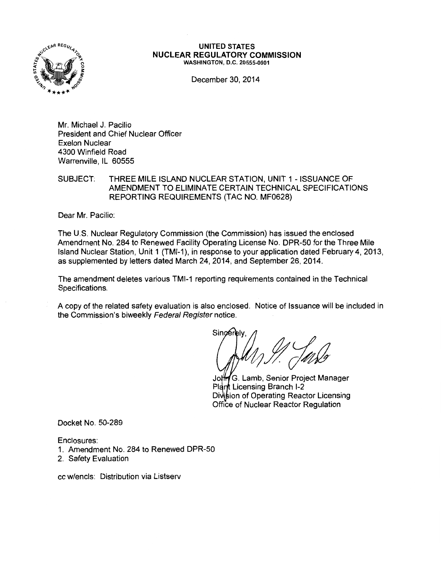

#### UNITED STATES NUCLEAR REGULATORY COMMISSION WASHINGTON, D.C. 20555-0001

December 30, 2014

Mr. Michael J. Pacilio President and Chief Nuclear Officer Exelon Nuclear 4300 Winfield Road Warrenville, IL 60555

SUBJECT: THREE MILE ISLAND NUCLEAR STATION, UNIT 1 -ISSUANCE OF AMENDMENT TO ELIMINATE CERTAIN TECHNICAL SPECIFICATIONS REPORTING REQUIREMENTS (TAC NO. MF0628)

Dear Mr. Pacilio:

The U.S. Nuclear Regulatory Commission (the Commission) has issued the enclosed Amendment No. 284 to Renewed Facility Operating License No. DPR-50 for the Three Mile Island Nuclear Station, Unit 1 (TMI-1 ), in response to your application dated February 4, 2013, as supplemented by letters dated March 24, 2014, and September 26, 2014.

The amendment deletes various TMI-1 reporting requirements contained in the Technical Specifications.

A copy of the related safety evaluation is also enclosed. Notice of Issuance will be included in the Commission's biweekly Federal Register notice.

Sinc

Johr G. Lamb, Senior Project Manager Plant Licensing Branch I-2 Division of Operating Reactor Licensing Office of Nuclear Reactor Regulation

Docket No. 50-289

Enclosures:

- 1. Amendment No. 284 to Renewed DPR-50
- 2. Safety Evaluation

cc w/encls: Distribution via Listserv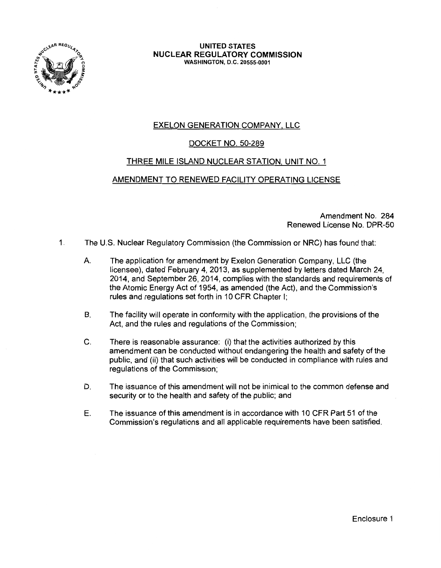

#### UNITED STATES NUCLEAR REGULATORY COMMISSION WASHINGTON, D.C. 20555-0001

# EXELON GENERATION COMPANY, LLC

# DOCKET NO. 50-289

# THREE MILE ISLAND NUCLEAR STATION. UNIT NO. 1

## AMENDMENT TO RENEWED FACILITY OPERATING LICENSE

Amendment No. 284 Renewed License No. DPR-50

- 1 The U.S. Nuclear Regulatory Commission (the Commission or NRC) has found that:
	- A. The application for amendment by Exelon Generation Company, LLC (the licensee), dated February 4, 2013, as supplemented by letters dated March 24, 2014, and September 26, 2014, complies with the standards and requirements of the Atomic Energy Act of 1954, as amended (the Act), and the Commission's rules and regulations set forth in 10 CFR Chapter I;
	- B. The facility will operate in conformity with the application, the provisions of the Act, and the rules and regulations of the Commission;
	- C. There is reasonable assurance: (i) that the activities authorized by this amendment can be conducted without endangering the health and safety of the public, and (ii) that such activities will be conducted in compliance with rules and regulations of the Commission;
	- D. The issuance of this amendment will not be inimical to the common defense and security or to the health and safety of the public; and
	- E. The issuance of this amendment is in accordance with 10 CFR Part 51 of the Commission's regulations and all applicable requirements have been satisfied.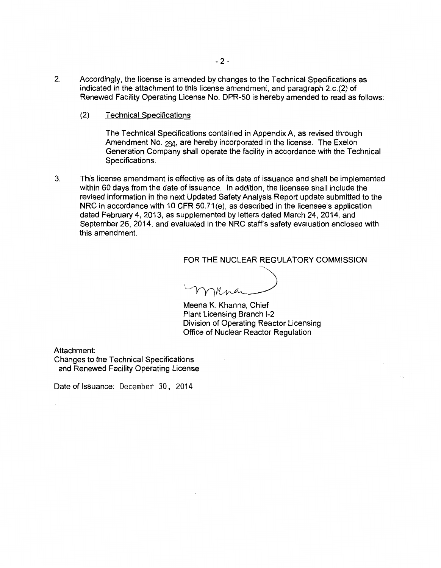- 2. Accordingly, the license is amended by changes to the Technical Specifications as indicated in the attachment to this license amendment, and paragraph 2.c.(2) of Renewed Facility Operating License No. DPR-50 is hereby amended to read as follows:
	- (2) Technical Specifications

The Technical Specifications contained in Appendix A, as revised through Amendment No. 294, are hereby incorporated in the license. The Exelon Generation Company shall operate the facility in accordance with the Technical Specifications.

3. This license amendment is effective as of its date of issuance and shall be implemented within 60 days from the date of issuance. In addition, the licensee shall include the revised information in the next Updated Safety Analysis Report update submitted to the NRC in accordance with 10 CFR 50.71(e), as described in the licensee's application dated February 4, 2013, as supplemented by letters dated March 24, 2014, and September 26, 2014, and evaluated in the NRC staff's safety evaluation enclosed with this amendment.

## FOR THE NUCLEAR REGULATORY COMMISSION

 $\Delta$ ·~~~\_\_\_\_\_/

Meena K. Khanna, Chief Plant Licensing Branch 1-2 Division of Operating Reactor Licensing Office of Nuclear Reactor Regulation

Attachment:

Changes to the Technical Specifications and Renewed Facility Operating License

Date of Issuance: December 30, 2014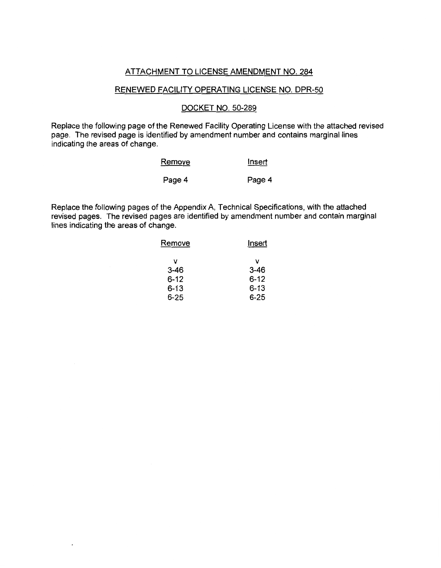# ATTACHMENT TO LICENSE AMENDMENT NO. 284

## RENEWED FACILITY OPERATING LICENSE NO. DPR-50

## DOCKET NO. 50-289

Replace the following page of the Renewed Facility Operating License with the attached revised page. The revised page is identified by amendment number and contains marginal lines indicating the areas of change.

| <u>Remove</u> | <u>Insert</u> |  |  |
|---------------|---------------|--|--|
| Page 4        | Page 4        |  |  |

Replace the following pages of the Appendix A, Technical Specifications, with the attached revised pages. The revised pages are identified by amendment number and contain marginal lines indicating the areas of change.

| Remove   | Insert   |  |  |
|----------|----------|--|--|
| ν        | v        |  |  |
| $3 - 46$ | $3 - 46$ |  |  |
| $6 - 12$ | $6 - 12$ |  |  |
| $6 - 13$ | $6 - 13$ |  |  |
| 6-25     | 6-25     |  |  |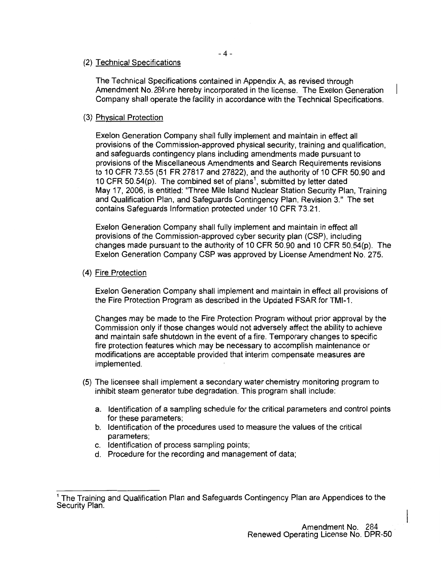## (2) Technical Specifications

The Technical Specifications contained in Appendix A, as revised through Amendment No. 284nre hereby incorporated in the license. The Exelon Generation Company shall operate the facility in accordance with the Technical Specifications.

# (3) Physical Protection

Exelon Generation Company shall fully implement and maintain in effect all provisions of the Commission-approved physical security, training and qualification, and safeguards contingency plans including amendments made pursuant to provisions of the Miscellaneous Amendments and Search Requirements revisions to 10 CFR 73.55 (51 FR 27817 and 27822), and the authority of 10 CFR 50.90 and 10 CFR 50.54(p). The combined set of plans<sup>1</sup>, submitted by letter dated May 17, 2006, is entitled: "Three Mile Island Nuclear Station Security Plan, Training and Qualification Plan, and Safeguards Contingency Plan, Revision 3." The set contains Safeguards Information protected under 10 CFR 73.21.

Exelon Generation Company shall fully implement and maintain in effect all provisions of the Commission-approved cyber security plan (CSP), including changes made pursuant to the authority of 10 CFR 50.90 and 10 CFR 50.54(p). The Exelon Generation Company CSP was approved by License Amendment No. 275.

## (4) Fire Protection

Exelon Generation Company shall implement and maintain in effect all provisions of the Fire Protection Program as described in the Updated FSAR for TMI-1.

Changes may be made to the Fire Protection Program without prior approval by the Commission only if those changes would not adversely affect the ability to achieve and maintain safe shutdown in the event of a fire. Temporary changes to specific fire protection features which may be necessary to accomplish maintenance or modifications are acceptable provided that interim compensate measures are implemented.

- (5) The licensee shall implement a secondary water chemistry monitoring program to inhibit steam generator tube degradation. This program shall include:
	- a. Identification of a sampling schedule for the critical parameters and control points for these parameters;
	- b. Identification of the procedures used to measure the values of the critical parameters;
	- c. Identification of process sampling points;
	- d. Procedure for the recording and management of data;

<sup>&</sup>lt;sup>1</sup> The Training and Qualification Plan and Safeguards Contingency Plan are Appendices to the Security Plan.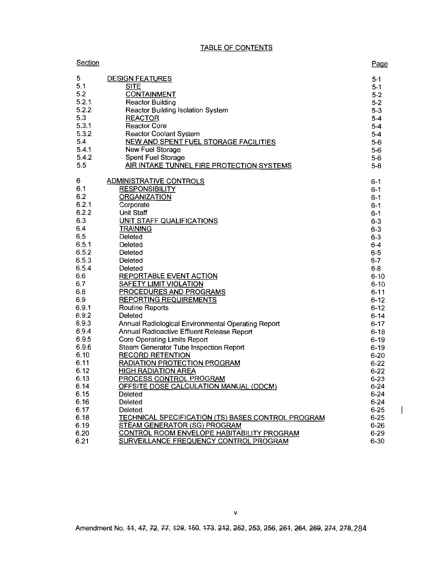## TABLE OF CONTENTS

| Section |                                                    | Page     |
|---------|----------------------------------------------------|----------|
| 5       | <b>DESIGN FEATURES</b>                             | $5 - 1$  |
| 5.1     | <b>SITE</b>                                        | $5-1$    |
| 5.2     | <b>CONTAINMENT</b>                                 | $5 - 2$  |
| 5.2.1   | <b>Reactor Building</b>                            | $5 - 2$  |
| 5.2.2   | Reactor Building Isolation System                  | $5-3$    |
| 5.3     | <b>REACTOR</b>                                     | $5 - 4$  |
| 5.3.1   | <b>Reactor Core</b>                                | $5-4$    |
| 5.3.2   | <b>Reactor Coolant System</b>                      | $5-4$    |
| 5.4     | <b>NEW AND SPENT FUEL STORAGE FACILITIES</b>       | $5-6$    |
| 5.4.1   | New Fuel Storage                                   | $5-6$    |
| 5.4.2   | <b>Spent Fuel Storage</b>                          | $5-6$    |
| 5.5     | AIR INTAKE TUNNEL FIRE PROTECTION SYSTEMS          | $5 - 8$  |
| 6       | <b>ADMINISTRATIVE CONTROLS</b>                     | $6 - 1$  |
| 6.1     | <b>RESPONSIBILITY</b>                              | $6 - 1$  |
| 6.2     | <b>ORGANIZATION</b>                                | $6 - 1$  |
| 6.2.1   | Corporate                                          | $6 - 1$  |
| 6.2.2   | <b>Unit Staff</b>                                  | $6-1$    |
| 6.3     | UNIT STAFF QUALIFICATIONS                          | $6 - 3$  |
| 6.4     | <b>TRAINING</b>                                    | $6-3$    |
| 6.5     | Deleted                                            | $6 - 3$  |
| 6.5.1   | Deleted                                            | $6-4$    |
| 6.5.2   | Deleted                                            | $6 - 5$  |
| 6.5.3   | Deleted                                            | $6 - 7$  |
| 6.5.4   | Deleted                                            | $6 - 8$  |
| 6.6     | REPORTABLE EVENT ACTION                            | $6 - 10$ |
| 6.7     | SAFETY LIMIT VIOLATION                             | $6 - 10$ |
| 6.8     | <b>PROCEDURES AND PROGRAMS</b>                     | $6 - 11$ |
| 6.9     | <b>REPORTING REQUIREMENTS</b>                      | $6 - 12$ |
| 6.9.1   | <b>Routine Reports</b>                             | $6-12$   |
| 6.9.2   | Deleted                                            | $6 - 14$ |
| 6.9.3   | Annual Radiological Environmental Operating Report | $6 - 17$ |
| 6.9.4   | Annual Radioactive Effluent Release Report         | $6 - 18$ |
| 6.9.5   | <b>Core Operating Limits Report</b>                | $6 - 19$ |
| 6.9.6   | Steam Generator Tube Inspection Report             | $6 - 19$ |
| 6.10    | <b>RECORD RETENTION</b>                            | $6 - 20$ |
| 6.11    | RADIATION PROTECTION PROGRAM                       | $6 - 22$ |
| 6.12    | <b>HIGH RADIATION AREA</b>                         | $6 - 22$ |
| 6.13    | PROCESS CONTROL PROGRAM                            | $6 - 23$ |
| 6.14    | OFFSITE DOSE CALCULATION MANUAL (ODCM)             | $6 - 24$ |
| 6.15    | Deleted                                            | $6 - 24$ |
| 6.16    | Deleted                                            | $6 - 24$ |
| 6.17    | Deleted                                            | $6 - 25$ |
| 6.18    | TECHNICAL SPECIFICATION (TS) BASES CONTROL PROGRAM | $6 - 25$ |
| 6.19    | STEAM GENERATOR (SG) PROGRAM                       | $6 - 26$ |
| 6.20    | CONTROL ROOM ENVELOPE HABITABILITY PROGRAM         | $6 - 29$ |
| 6.21    | SURVEILLANCE FREQUENCY CONTROL PROGRAM             | $6 - 30$ |

Amendment No. 44, 47, 72, 77, 429, 450, 473, 242, 252, 253, 256, 264, 264, 269, 274, 278, 284

 $\overline{\phantom{a}}$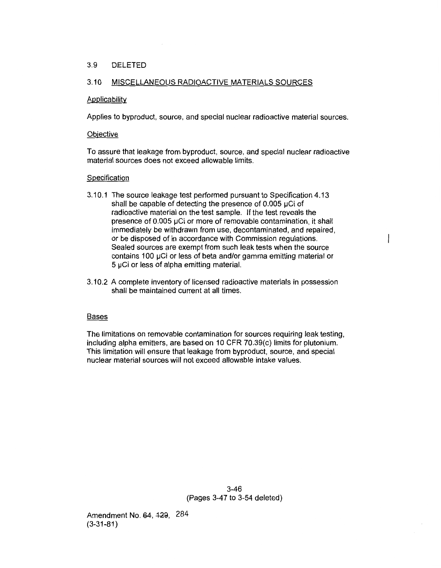## 3.9 DELETED

## 3.10 MISCELLANEOUS RADIOACTIVE MATERIALS SOURCES

### Applicability

Applies to byproduct, source, and special nuclear radioactive material sources.

### **Objective**

To assure that leakage from byproduct, source, and special nuclear radioactive material sources does not exceed allowable limits.

### Specification

- 3.1 0.1 The source leakage test performed pursuant to Specification 4.13 shall be capable of detecting the presence of  $0.005 \mu$ Ci of radioactive material on the test sample. If the test reveals the presence of 0.005 µCi or more of removable contamination, it shall immediately be withdrawn from use, decontaminated, and repaired, or be disposed of in accordance with Commission regulations. Sealed sources are exempt from such leak tests when the source contains 100 µCi or less of beta and/or gamma emitting material or 5 µCi or less of alpha emitting material.
- 3.1 0.2 A complete inventory of licensed radioactive materials in possession shall be maintained current at all times.

#### **Bases**

The limitations on removable contamination for sources requiring leak testing, including alpha emitters, are based on 10 CFR 70.39(c) limits for plutonium. This limitation will ensure that leakage from byproduct, source, and special nuclear material sources will not exceed allowable intake values.

> 3-46 (Pages 3-47 to 3-54 deleted)

Amendment No. 64, 129, 284 (3-31-81)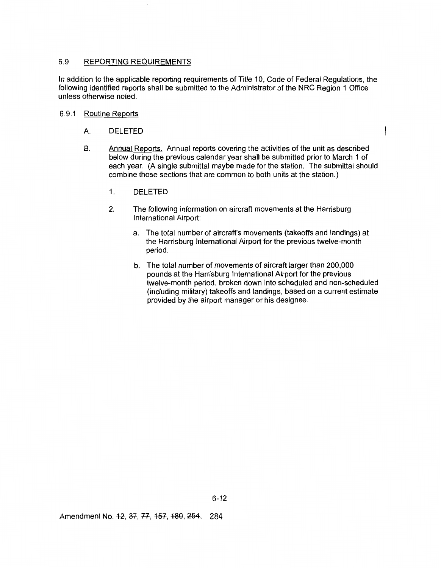### 6.9 REPORTING REQUIREMENTS

In addition to the applicable reporting requirements of Title 10, Code of Federal Regulations, the following identified reports shall be submitted to the Administrator of the NRC Region 1 Office unless otherwise noted.

### 6.9.1 Routine Reports

- A. DELETED
- B. Annual Reports. Annual reports covering the activities of the unit as described below during the previous calendar year shall be submitted prior to March 1 of each year. (A single submittal maybe made for the station. The submittal should combine those sections that are common to both units at the station.)
	- 1. DELETED
	- 2. The following information on aircraft movements at the Harrisburg International Airport:
		- a. The total number of aircraft's movements (takeoffs and landings) at the Harrisburg International Airport for the previous twelve-month period.
		- b. The total number of movements of aircraft larger than 200,000 pounds at the Harrisburg International Airport for the previous twelve-month period, broken down into scheduled and non-scheduled (including military) takeoffs and landings, based on a current estimate provided by the airport manager or his designee.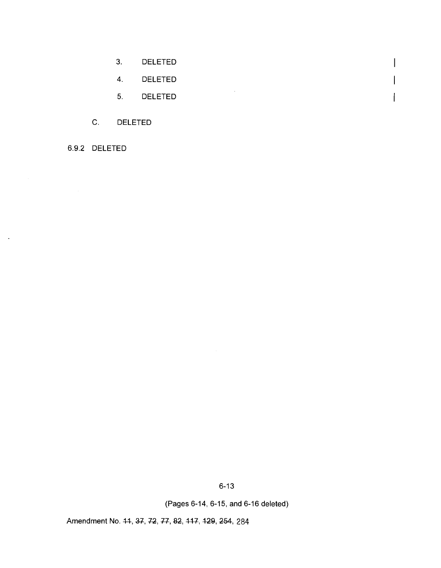- 3. DELETED  $\mathsf{I}$ 4. DELETED  $\overline{\phantom{a}}$  $\mathcal{A}^{\mathcal{A}}$
- 5. DELETED

 $\overline{\phantom{a}}$ 

- C. DELETED
- 6.9.2 DELETED

 $\ddot{\phantom{1}}$ 

6-13

(Pages 6-14, 6-15, and 6-16 deleted)

Amendment No. 44, 37, 72, 77, 82, 417, 129, 254, 284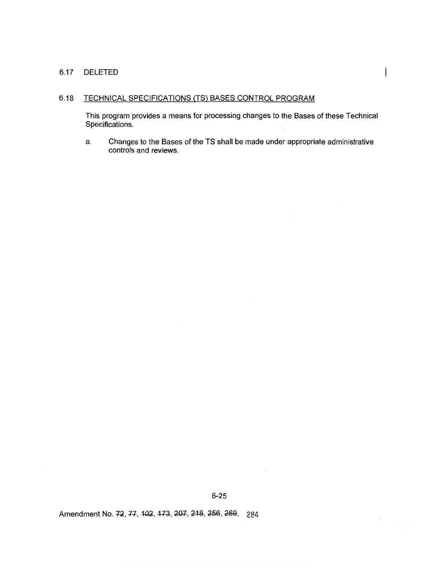## 6.17 DELETED

## 6.18 TECHNICAL SPECIFICATIONS (TS) BASES CONTROL PROGRAM

This program provides a means for processing changes to the Bases of these Technical Specifications.

a. Changes to the Bases of the TS shall be made under appropriate administrative controls and reviews.

Amendment No. 72, 77, 102, 173, 207, 218, 256, 269, 284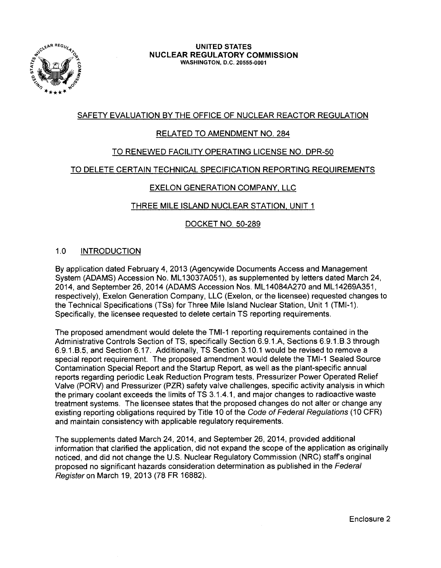

# SAFETY EVALUATION BY THE OFFICE OF NUCLEAR REACTOR REGULATION

# RELATED TO AMENDMENT NO. 284

# TO RENEWED FACILITY OPERATING LICENSE NO. DPR-50

# TO DELETE CERTAIN TECHNICAL SPECIFICATION REPORTING REQUIREMENTS

# EXELON GENERATION COMPANY. LLC

# THREE MILE ISLAND NUCLEAR STATION, UNIT 1

# DOCKET NO. 50-289

# 1.0 INTRODUCTION

By application dated February 4, 2013 (Agencywide Documents Access and Management System (ADAMS) Accession No. ML 13037A051), as supplemented by letters dated March 24, 2014, and September 26, 2014 (ADAMS Accession Nos. ML 14084A270 and ML 14269A351, respectively), Exelon Generation Company, LLC (Exelon, or the licensee) requested changes to the Technical Specifications (TSs) for Three Mile Island Nuclear Station, Unit 1 (TMI-1 ). Specifically, the licensee requested to delete certain TS reporting requirements.

The proposed amendment would delete the TMI-1 reporting requirements contained in the Administrative Controls Section of TS, specifically Section 6.9.1.A, Sections 6.9.1.B.3 through 6.9.1.B.5, and Section 6.17. Additionally, TS Section 3.1 0.1 would be revised to remove a special report requirement. The proposed amendment would delete the TMI-1 Sealed Source Contamination Special Report and the Startup Report, as well as the plant-specific annual reports regarding periodic Leak Reduction Program tests, Pressurizer Power Operated Relief Valve (PORV) and Pressurizer (PZR) safety valve challenges, specific activity analysis in which the primary coolant exceeds the limits of TS 3.1.4.1, and major changes to radioactive waste treatment systems. The licensee states that the proposed changes do not alter or change any existing reporting obligations required by Title 10 of the Code of Federal Regulations (10 CFR) and maintain consistency with applicable regulatory requirements.

The supplements dated March 24, 2014, and September 26, 2014, provided additional information that clarified the application, did not expand the scope of the application as originally noticed, and did not change the U.S. Nuclear Regulatory Commission (NRC) staff's original proposed no significant hazards consideration determination as published in the Federal Register on March 19, 2013 (78 FR 16882).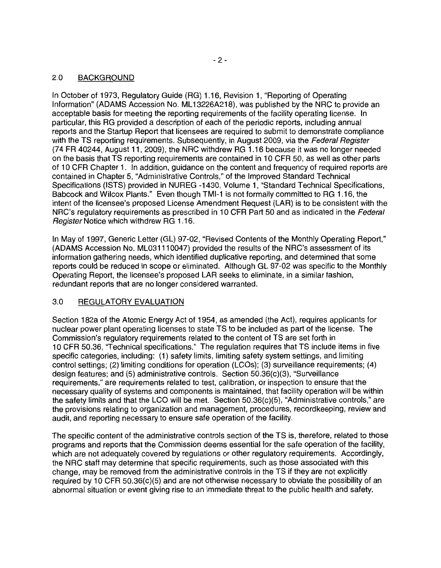# 2.0 BACKGROUND

In October of 1973, Regulatory Guide (RG) 1.16, Revision 1, "Reporting of Operating Information" (ADAMS Accession No. ML13226A218), was published by the NRC to provide an acceptable basis for meeting the reporting requirements of the facility operating license. In particular, this RG provided a description of each of the periodic reports, including annual reports and the Startup Report that licensees are required to submit to demonstrate compliance with the TS reporting requirements. Subsequently, in August 2009, via the Federal Register (74 FR 40244, August 11, 2009), the NRC withdrew RG 1.16 because it was no longer needed on the basis that TS reporting requirements are contained in 10 CFR 50, as well as other parts of 10 CFR Chapter 1. In addition, quidance on the content and frequency of required reports are contained in Chapter 5, "Administrative Controls," of the Improved Standard Technical Specifications (ISTS) provided in NUREG -1430, Volume 1, "Standard Technical Specifications, Babcock and Wilcox Plants." Even though TMI-1 is not formally committed to RG 1.16, the intent of the licensee's proposed License Amendment Request (LAR) is to be consistent with the NRC's regulatory requirements as prescribed in 10 CFR Part 50 and as indicated in the Federal Register Notice which withdrew RG 1.16.

In May of 1997, Generic Letter (GL) 97-02, "Revised Contents of the Monthly Operating Report," (ADAMS Accession No. ML03111 0047) provided the results of the NRC's assessment of its information gathering needs, which identified duplicative reporting, and determined that some reports could be reduced in scope or eliminated. Although GL 97-02 was specific to the Monthly Operating Report, the licensee's proposed LAR seeks to eliminate, in a similar fashion, redundant reports that are no longer considered warranted.

# 3.0 REGULATORY EVALUATION

Section 182a of the Atomic Energy Act of 1954, as amended (the Act), requires applicants for nuclear power plant operating licenses to state TS to be included as part of the license. The Commission's regulatory requirements related to the content of TS are set forth in 10 CFR 50.36, "Technical specifications." The regulation requires that TS include items in five specific categories, including: {1) safety limits, limiting safety system settings, and limiting control settings; (2) limiting conditions for operation (LCOs); (3) surveillance requirements; (4) design features; and (5) administrative controls. Section 50.36{c)(3), "Surveillance requirements," are requirements related to test, calibration, or inspection to ensure that the necessary quality of systems and components is maintained, that facility operation will be within the safety limits and that the LCO will be met. Section 50.36{c)(5), "Administrative controls," are the provisions relating to organization and management, procedures, recordkeeping, review and audit, and reporting necessary to ensure safe operation of the facility.

The specific content of the administrative controls section of the TS is, therefore, related to those programs and reports that the Commission deems essential for the safe operation of the facility, which are not adequately covered by regulations or other regulatory requirements. Accordingly, the NRC staff may determine that specific requirements, such as those associated with this change, may be removed from the administrative controls in the TS if they are not explicitly required by 10 CFR 50.36(c)(5) and are not otherwise necessary to obviate the possibility of an abnormal situation or event giving rise to an immediate threat to the public health and safety.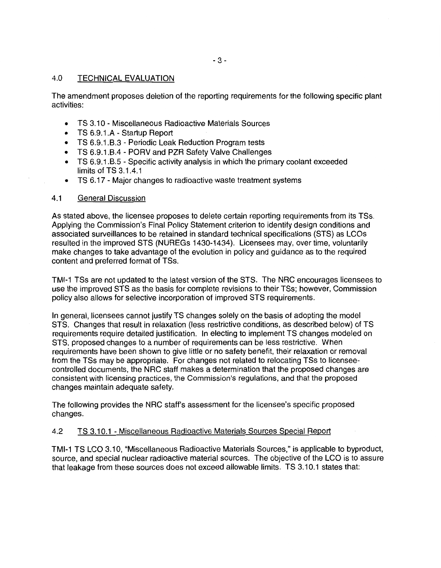## 4.0 TECHNICAL EVALUATION

The amendment proposes deletion of the reporting requirements for the following specific plant activities:

- TS 3.10 Miscellaneous Radioactive Materials Sources
- TS 6.9.1.A Startup Report
- TS 6.9.1.8.3 Periodic Leak Reduction Program tests
- TS 6.9.1.8.4 PORV and PZR Safety Valve Challenges
- TS 6.9.1.8.5 Specific activity analysis in which the primary coolant exceeded limits of TS 3.1 .4.1
- TS 6.17 Major changes to radioactive waste treatment systems

## 4.1 General Discussion

As stated above, the licensee proposes to delete certain reporting requirements from its TSs. Applying the Commission's Final Policy Statement criterion to identify design conditions and associated surveillances to be retained in standard technical specifications (STS) as LCOs resulted in the improved STS (NUREGs 1430-1434). Licensees may, over time, voluntarily make changes to take advantage of the evolution in policy and guidance as to the required content and preferred format of TSs.

TMI-1 TSs are not updated to the latest version of the STS. The NRC encourages licensees to use the improved STS as the basis for complete revisions to their TSs; however, Commission policy also allows for selective incorporation of improved STS requirements.

In general, licensees cannot justify TS changes solely on the basis of adopting the model STS. Changes that result in relaxation (less restrictive conditions, as described below) of TS requirements require detailed justification. In electing to implement TS changes modeled on STS, proposed changes to a number of requirements can be less restrictive. When requirements have been shown to give little or no safety benefit, their relaxation or removal from the TSs may be appropriate. For changes not related to relocating TSs to licenseecontrolled documents, the NRC staff makes a determination that the proposed changes are consistent with licensing practices, the Commission's regulations, and that the proposed changes maintain adequate safety.

The following provides the NRC staff's assessment for the licensee's specific proposed changes.

### 4.2 TS 3.1 0.1 - Miscellaneous Radioactive Materials Sources Special Report

TMI-1 TS LCO 3.10, "Miscellaneous Radioactive Materials Sources," is applicable to byproduct, source, and special nuclear radioactive material sources. The objective of the LCO is to assure that leakage from these sources does not exceed allowable limits. TS 3.10.1 states that: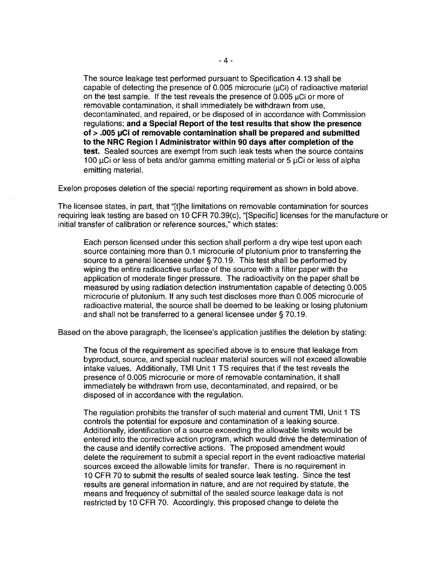The source leakage test performed pursuant to Specification 4.13 shall be capable of detecting the presence of  $0.005$  microcurie ( $\mu$ Ci) of radioactive material on the test sample. If the test reveals the presence of  $0.005 \mu$ Ci or more of removable contamination, it shall immediately be withdrawn from use, decontaminated, and repaired, or be disposed of in accordance with Commission regulations; **and a Special Report of the test results that show the presence of > .005 IJCi of removable contamination shall be prepared and submitted to the NRC Region I Administrator within 90 days after completion of the test.** Sealed sources are exempt from such leak tests when the source contains 100  $\mu$ Ci or less of beta and/or gamma emitting material or 5  $\mu$ Ci or less of alpha emitting material.

Exelon proposes deletion of the special reporting requirement as shown in bold above.

The licensee states, in part, that "[t]he limitations on removable contamination for sources requiring leak testing are based on 10 CFR 70.39(c), "[Specific] licenses for the manufacture or initial transfer of calibration or reference sources," which states:

Each person licensed under this section shall perform a dry wipe test upon each source containing more than 0.1 microcurie of plutonium prior to transferring the source to a general licensee under § 70.19. This test shall be performed by wiping the entire radioactive surface of the source with a filter paper with the application of moderate finger pressure. The radioactivity on the paper shall be measured by using radiation detection instrumentation capable of detecting 0.005 microcurie of plutonium. If any such test discloses more than 0.005 microcurie of radioactive material, the source shall be deemed to be leaking or losing plutonium and shall not be transferred to a general licensee under§ 70.19.

Based on the above paragraph, the licensee's application justifies the deletion by stating:

The focus of the requirement as specified above is to ensure that leakage from byproduct, source, and special nuclear material sources will not exceed allowable intake values. Additionally, TMI Unit 1 TS requires that if the test reveals the presence of 0.005 microcurie or more of removable contamination, it shall immediately be withdrawn from use, decontaminated, and repaired, or be disposed of in accordance with the regulation.

The regulation prohibits the transfer of such material and current TMI, Unit 1 TS controls the potential for exposure and contamination of a leaking source. Additionally, identification of a source exceeding the allowable limits would be entered into the corrective action program, which would drive the determination of the cause and identify corrective actions. The proposed amendment would delete the requirement to submit a special report in the event radioactive material sources exceed the allowable limits for transfer. There is no requirement in 10 CFR 70 to submit the results of sealed source leak testing. Since the test results are general information in nature, and are not required by statute, the means and frequency of submittal of the sealed source leakage data is not restricted by 10 CFR 70. Accordingly, this proposed change to delete the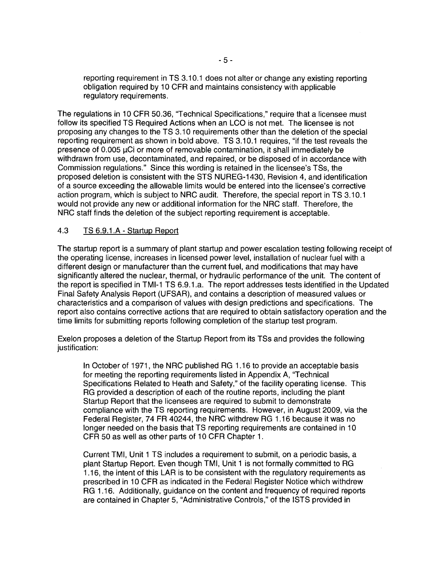reporting requirement in TS 3.10.1 does not alter or change any existing reporting obligation required by 10 CFR and maintains consistency with applicable regulatory requirements.

The regulations in 10 CFR 50.36, "Technical Specifications," require that a licensee must follow its specified TS Required Actions when an LCO is not met. The licensee is not proposing any changes to the TS 3.10 requirements other than the deletion of the special reporting requirement as shown in bold above. TS 3.10.1 requires, "if the test reveals the presence of  $0.005 \mu$ Ci or more of removable contamination, it shall immediately be withdrawn from use, decontaminated, and repaired, or be disposed of in accordance with Commission regulations." Since this wording is retained in the licensee's TSs, the proposed deletion is consistent with the STS NUREG-1430, Revision 4, and identification of a source exceeding the allowable limits would be entered into the licensee's corrective action program, which is subject to NRC audit. Therefore, the special report in TS 3.1 0.1 would not provide any new or additional information for the NRC staff. Therefore, the NRC staff finds the deletion of the subject reporting requirement is acceptable.

# 4.3 TS 6.9.1.A - Startup Report

The startup report is a summary of plant startup and power escalation testing following receipt of the operating license, increases in licensed power level, installation of nuclear fuel with a different design or manufacturer than the current fuel, and modifications that may have significantly altered the nuclear, thermal, or hydraulic performance of the unit. The content of the report is specified in TMI-1 TS 6.9.1.a. The report addresses tests identified in the Updated Final Safety Analysis Report (UFSAR), and contains a description of measured values or characteristics and a comparison of values with design predictions and specifications. The report also contains corrective actions that are required to obtain satisfactory operation and the time limits for submitting reports following completion of the startup test program.

Exelon proposes a deletion of the Startup Report from its TSs and provides the following justification:

In October of 1971, the NRC published RG 1.16 to provide an acceptable basis for meeting the reporting requirements listed in Appendix A, "Technical Specifications Related to Heath and Safety," of the facility operating license. This RG provided a description of each of the routine reports, including the plant Startup Report that the licensees are required to submit to demonstrate compliance with the TS reporting requirements. However, in August 2009, via the Federal Register, 74 FR 40244, the NRC withdrew RG 1.16 because it was no longer needed on the basis that TS reporting requirements are contained in 10 CFR 50 as well as other parts of 10 CFR Chapter 1.

Current TMI, Unit 1 TS includes a requirement to submit, on a periodic basis, a plant Startup Report. Even though TMI, Unit 1 is not formally committed to RG 1.16, the intent of this LAR is to be consistent with the regulatory requirements as prescribed in 10 CFR as indicated in the Federal Register Notice which withdrew RG 1.16. Additionally, guidance on the content and frequency of required reports are contained in Chapter 5, "Administrative Controls," of the ISTS provided in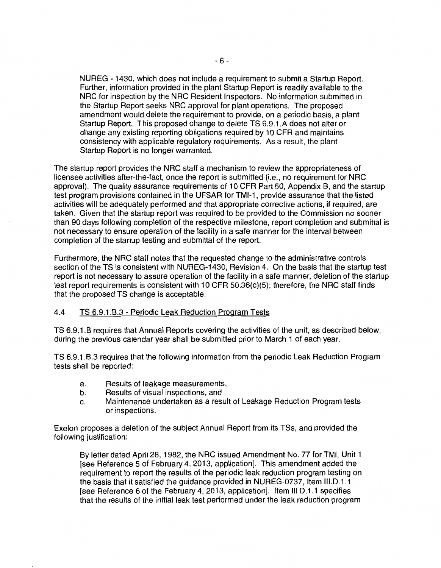NUREG - 1430, which does not include a requirement to submit a Startup Report. Further, information provided in the plant Startup Report is readily available to the NRC for inspection by the NRC Resident Inspectors. No information submitted in the Startup Report seeks NRC approval for plant operations. The proposed amendment would delete the requirement to provide, on a periodic basis, a plant Startup Report. This proposed change to delete TS 6.9.1.A does not alter or change any existing reporting obligations required by 10 CFR and maintains consistency with applicable regulatory requirements. As a result, the plant Startup Report is no longer warranted.

The startup report provides the NRC staff a mechanism to review the appropriateness of licensee activities after-the-fact, once the report is submitted (i.e., no requirement for NRC approval). The quality assurance requirements of 10 CFR Part 50, Appendix B, and the startup test program provisions contained in the UFSAR for TMI-1, provide assurance that the listed activities will be adequately performed and that appropriate corrective actions, if required, are taken. Given that the startup report was required to be provided to the Commission no sooner than 90 days following completion of the respective milestone, report completion and submittal is not necessary to ensure operation of the facility in a safe manner for the interval between completion of the startup testing and submittal of the report.

Furthermore, the NRC staff notes that the requested change to the administrative controls section of the TS is consistent with NUREG-1430, Revision 4. On the basis that the startup test report is not necessary to assure operation of the facility in a safe manner, deletion of the startup test report requirements is consistent with 10 CFR 50.36(c)(5); therefore, the NRC staff finds that the proposed TS change is acceptable.

## 4.4 TS 6.9.1.8.3- Periodic Leak Reduction Program Tests

TS 6.9.1.8 requires that Annual Reports covering the activities of the unit, as described below, during the previous calendar year shall be submitted prior to March 1 of each year.

TS 6.9.1.8.3 requires that the following information from the periodic Leak Reduction Program tests shall be reported:

- a. Results of leakage measurements,
- b. Results of visual inspections, and
- c. Maintenance undertaken as a result of Leakage Reduction Program tests or inspections.

Exelon proposes a deletion of the subject Annual Report from its TSs, and provided the following justification:

By letter dated April28, 1982, the NRC issued Amendment No. 77 for TMI, Unit 1 [see Reference 5 of February 4, 2013, application]. This amendment added the requirement to report the results of the periodic leak reduction program testing on the basis that it satisfied the guidance provided in NUREG-0737, Item III.D.1.1 [see Reference 6 of the February 4, 2013, application]. Item III D.1.1 specifies that the results of the initial leak test performed under the leak reduction program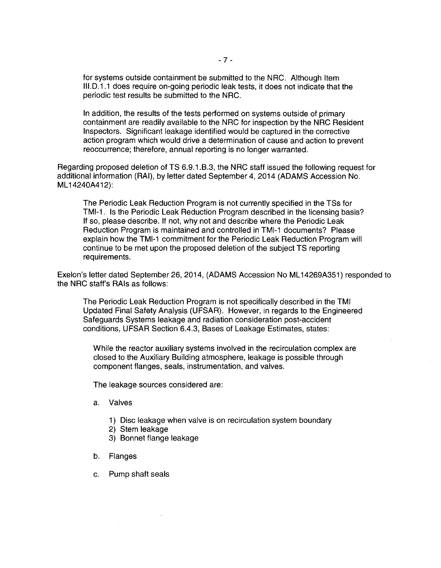for systems outside containment be submitted to the NRC. Although Item III.D.1.1 does require on-going periodic leak tests, it does not indicate that the periodic test results be submitted to the NRC.

In addition, the results of the tests performed on systems outside of primary containment are readily available to the NRC for inspection by the NRC Resident Inspectors. Significant leakage identified would be captured in the corrective action program which would drive a determination of cause and action to prevent reoccurrence; therefore, annual reporting is no longer warranted.

Regarding proposed deletion of TS 6.9.1.B.3, the NRC staff issued the following request for additional information (RAI), by letter dated September 4, 2014 (ADAMS Accession No. ML 14240A412):

The Periodic Leak Reduction Program is not currently specified in the TSs for TMI-1. Is the Periodic Leak Reduction Program described in the licensing basis? If so, please describe. If not, why not and describe where the Periodic Leak Reduction Program is maintained and controlled in TMI-1 documents? Please explain how the TMI-1 commitment for the Periodic Leak Reduction Program will continue to be met upon the proposed deletion of the subject TS reporting requirements.

Exelon's letter dated September 26, 2014, (ADAMS Accession No ML 14269A351) responded to the NRC staff's RAis as follows:

The Periodic Leak Reduction Program is not specifically described in the TMI Updated Final Safety Analysis (UFSAR). However, in regards to the Engineered Safeguards Systems leakage and radiation consideration post-accident conditions, UFSAR Section 6.4.3, Bases of Leakage Estimates, states:

While the reactor auxiliary systems involved in the recirculation complex are closed to the Auxiliary Building atmosphere, leakage is possible through component flanges, seals, instrumentation, and valves.

The leakage sources considered are:

- a. Valves
	- 1) Disc leakage when valve is on recirculation system boundary
	- 2) Stem leakage
	- 3) Bonnet flange leakage
- b. Flanges

 $\sim$ 

c. Pump shaft seals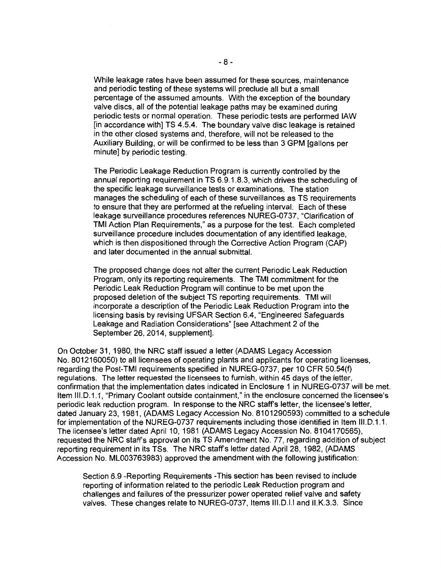While leakage rates have been assumed for these sources, maintenance and periodic testing of these systems will preclude all but a small percentage of the assumed amounts. With the exception of the boundary valve discs, all of the potential leakage paths may be examined during periodic tests or normal operation. These periodic tests are performed lAW [in accordance with] TS 4.5.4. The boundary valve disc leakage is retained in the other closed systems and, therefore, will not be released to the Auxiliary Building, or will be confirmed to be less than 3 GPM [gallons per minute] by periodic testing.

The Periodic Leakage Reduction Program is currently controlled by the annual reporting requirement in TS 6.9.1.8.3, which drives the scheduling of the specific leakage surveillance tests or examinations. The station manages the scheduling of each of these surveillances as TS requirements to ensure that they are performed at the refueling interval. Each of these leakage surveillance procedures references NUREG-0737, "Clarification of TMI Action Plan Requirements," as a purpose for the test. Each completed surveillance procedure includes documentation of any identified leakage, which is then dispositioned through the Corrective Action Program (CAP) and later documented in the annual submittal.

The proposed change does not alter the current Periodic Leak Reduction Program, only its reporting requirements. The TMI commitment for the Periodic Leak Reduction Program will continue to be met upon the proposed deletion of the subject TS reporting requirements. TMI will incorporate a description of the Periodic Leak Reduction Program into the licensing basis by revising UFSAR Section 6.4, "Engineered Safeguards Leakage and Radiation Considerations" [see Attachment 2 of the September 26, 2014, supplement].

On October 31, 1980, the NRC staff issued a letter (ADAMS Legacy Accession No. 8012160050) to all licensees of operating plants and applicants for operating licenses, regarding the Post-TMI requirements specified in NUREG-0737, per 10 CFR 50.54(f) regulations. The letter requested the licensees to furnish, within 45 days of the letter, confirmation that the implementation dates indicated in Enclosure 1 in NUREG-0737 will be met. Item III.D.1.1, "Primary Coolant outside containment," in the enclosure concerned the licensee's periodic leak reduction program. In response to the NRC staff's letter, the licensee's letter, dated January 23, 1981, (ADAMS Legacy Accession No. 8101290593) committed to a schedule for implementation of the NUREG-0737 requirements including those identified in Item III.D.1.1. The licensee's letter dated April 10, 1981 (ADAMS Legacy Accession No. 8104170565), requested the NRC staffs approval on its TS Amendment No. 77, regarding addition of subject reporting requirement in its TSs. The NRC staff's letter dated April 28, 1982, (ADAMS Accession No. ML003763983) approved the amendment with the following justification:

Section 6.9 -Reporting Requirements -This section has been revised to include reporting of information related to the periodic Leak Reduction program and challenges and failures of the pressurizer power operated relief valve and safety valves. These changes relate to NUREG-0737, Items III.D.I.I and II.K.3.3. Since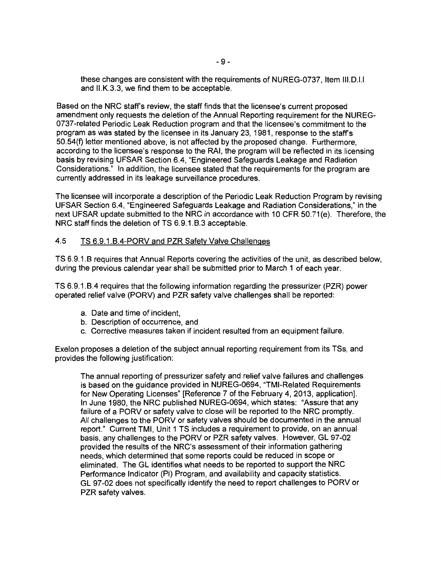these changes are consistent with the requirements of NUREG-0737, Item III.D.I.I and II.K.3.3, we find them to be acceptable.

Based on the NRC staff's review, the staff finds that the licensee's current proposed amendment only requests the deletion of the Annual Reporting requirement for the NUREG-0737-related Periodic Leak Reduction program and that the licensee's commitment to the program as was stated by the licensee in its January 23, 1981, response to the staff's 50.54(f) letter mentioned above, is not affected by the proposed change. Furthermore, according to the licensee's response to the RAI, the program will be reflected in its licensing basis by revising UFSAR Section 6.4, "Engineered Safeguards Leakage and Radiation Considerations." In addition, the licensee stated that the requirements for the program are currently addressed in its leakage surveillance procedures.

The licensee will incorporate a description of the Periodic Leak Reduction Program by revising UFSAR Section 6.4, "Engineered Safeguards Leakage and Radiation Considerations," in the next UFSAR update submitted to the NRC in accordance with 10 CFR 50.71 (e). Therefore, the NRC staff finds the deletion of TS 6.9.1.B.3 acceptable.

## 4.5 TS 6.9.1.8.4-PORV and PZR Safety Valve Challenges

TS 6.9.1.8 requires that Annual Reports covering the activities of the unit, as described below, during the previous calendar year shall be submitted prior to March 1 of each year.

TS 6.9.1.8.4 requires that the following information regarding the pressurizer (PZR) power operated relief valve (PORV) and PZR safety valve challenges shall be reported:

- a. Date and time of incident,
- b. Description of occurrence, and
- c. Corrective measures taken if incident resulted from an equipment failure.

Exelon proposes a deletion of the subject annual reporting requirement from its TSs, and provides the following justification:

The annual reporting of pressurizer safety and relief valve failures and challenges is based on the guidance provided in NUREG-0694, "TMI-Related Requirements for New Operating Licenses" [Reference 7 of the February 4, 2013, application]. In June 1980, the NRC published NUREG-0694, which states: "Assure that any failure of a PORV or safety valve to close will be reported to the NRC promptly. All challenges to the PORV or safety valves should be documented in the annual report." Current TMI, Unit 1 TS includes a requirement to provide, on an annual basis, any challenges to the PORV or PZR safety valves. However, GL 97-02 provided the results of the NRC's assessment of their information gathering needs, which determined that some reports could be reduced in scope or eliminated. The GL identifies what needs to be reported to support the NRC Performance Indicator (PI) Program, and availability and capacity statistics. GL 97-02 does not specifically identify the need to report challenges to PORV or PZR safety valves.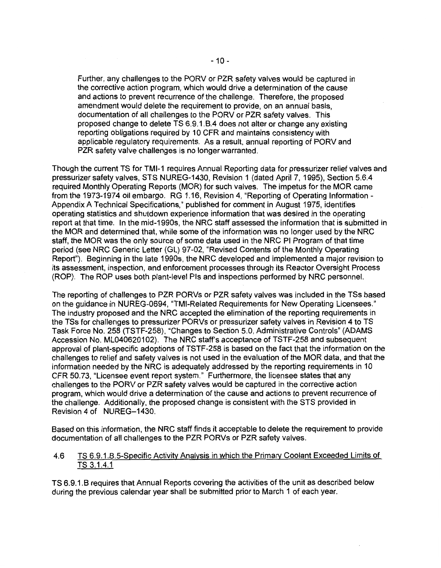Further, any challenges to the PORV or PZR safety valves would be captured in the corrective action program, which would drive a determination of the cause and actions to prevent recurrence of the challenge. Therefore, the proposed amendment would delete the requirement to provide, on an annual basis, documentation of all challenges to the PORV or PZR safety valves. This proposed change to delete TS 6.9.1.B.4 does not alter or change any existing reporting obligations required by 10 CFR and maintains consistency with applicable regulatory requirements. As a result, annual reporting of PORV and PZR safety valve challenges is no longer warranted.

Though the current TS for TMI-1 requires Annual Reporting data for pressurizer relief valves and pressurizer safety valves, STS NUREG-1430, Revision 1 (dated April?, 1995), Section 5.6.4 required Monthly Operating Reports (MOR) for such valves. The impetus for the MOR came from the 1973-1974 oil embargo. RG 1.16, Revision 4, "Reporting of Operating Information-Appendix A Technical Specifications," published for comment in August 1975, identifies operating statistics and shutdown experience information that was desired in the operating report at that time. In the mid-1990s, the NRC staff assessed the information that is submitted in the MOR and determined that, while some of the information was no longer used by the NRC staff, the MOR was the only source of some data used in the NRC PI Program of that time period (see NRC Generic Letter (GL) 97-02, "Revised Contents of the Monthly Operating Report"). Beginning in the late 1990s, the NRC developed and implemented a major revision to its assessment, inspection, and enforcement processes through its Reactor Oversight Process (ROP). The ROP uses both plant-level Pis and inspections performed by NRC personnel.

The reporting of challenges to PZR PORVs or PZR safety valves was included in the TSs based on the guidance in NUREG-0694, "TMI-Related Requirements for New Operating Licensees." The industry proposed and the NRC accepted the elimination of the reporting requirements in the TSs for challenges to pressurizer PORVs or pressurizer safety valves in Revision 4 to TS Task Force No. 258 (TSTF-258), "Changes to Section 5.0, Administrative Controls" (ADAMS Accession No. ML040620102). The NRC staff's acceptance of TSTF-258 and subsequent approval of plant-specific adoptions of TSTF-258 is based on the fact that the information on the challenges to relief and safety valves is not used in the evaluation of the MOR data, and that the information needed by the NRC is adequately addressed by the reporting requirements in 10 CFR 50.73, "Licensee event report system." Furthermore, the licensee states that any challenges to the PORV or PZR safety valves would be captured in the corrective action program, which would drive a determination of the cause and actions to prevent recurrence of the challenge. Additionally, the proposed change is consistent with the STS provided in Revision 4 of NUREG-1430.

Based on this information, the NRC staff finds it acceptable to delete the requirement to provide documentation of all challenges to the PZR PORVs or PZR safety valves.

# 4.6 TS 6.9.1.B.5-Specific Activity Analysis in which the Primary Coolant Exceeded Limits of TS 3.1.4.1

TS 6.9.1.B requires that Annual Reports covering the activities of the unit as described below during the previous calendar year shall be submitted prior to March 1 of each year.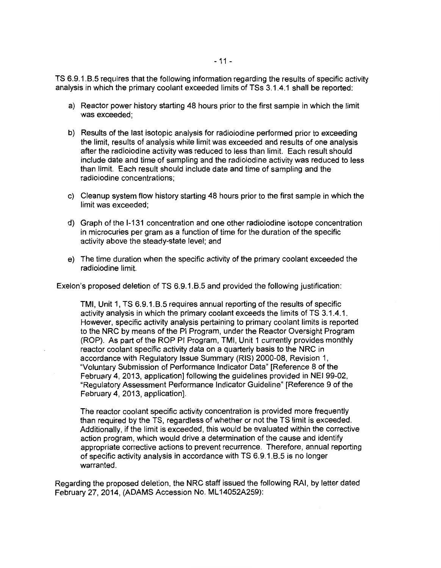TS 6.9.1.8.5 requires that the following information regarding the results of specific activity analysis in which the primary coolant exceeded limits of TSs 3.1.4.1 shall be reported:

- a) Reactor power history starting 48 hours prior to the first sample in which the limit was exceeded;
- b) Results of the last isotopic analysis for radioiodine performed prior to exceeding the limit, results of analysis while limit was exceeded and results of one analysis after the radioiodine activity was reduced to less than limit. Each result should include date and time of sampling and the radioiodine activity was reduced to less than limit. Each result should include date and time of sampling and the radioiodine concentrations;
- c) Cleanup system flow history starting 48 hours prior to the first sample in which the limit was exceeded;
- d) Graph of the 1-131 concentration and one other radioiodine isotope concentration in microcuries per gram as a function of time for the duration of the specific activity above the steady-state level; and
- e) The time duration when the specific activity of the primary coolant exceeded the radioiodine limit.

Exelon's proposed deletion of TS 6.9.1.8.5 and provided the following justification:

TMI, Unit 1, TS 6.9.1.8.5 requires annual reporting of the results of specific activity analysis in which the primary coolant exceeds the limits of TS 3.1.4.1. However, specific activity analysis pertaining to primary coolant limits is reported to the NRC by means of the PI Program, under the Reactor Oversight Program (ROP). As part of the ROP PI Program, TMI, Unit 1 currently provides monthly reactor coolant specific activity data on a quarterly basis to the NRC in accordance with Regulatory Issue Summary (RIS) 2000-08, Revision 1, "Voluntary Submission of Performance Indicator Data" [Reference 8 of the February 4, 2013, application] following the guidelines provided in NEI 99-02, "Regulatory Assessment Performance Indicator Guideline" [Reference 9 of the February 4, 2013, application].

The reactor coolant specific activity concentration is provided more frequently than required by the TS, regardless of whether or not the TS limit is exceeded. Additionally, if the limit is exceeded, this would be evaluated within the corrective action program, which would drive a determination of the cause and identify appropriate corrective actions to prevent recurrence. Therefore, annual reporting of specific activity analysis in accordance with TS 6.9.1.8.5 is no longer warranted.

Regarding the proposed deletion, the NRC staff issued the following RAI, by letter dated February 27, 2014, (ADAMS Accession No. ML14052A259):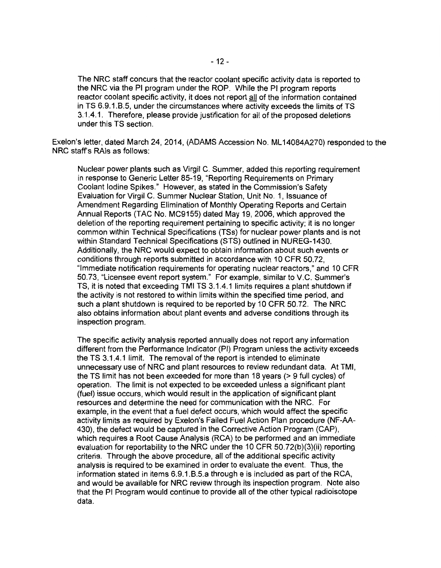The NRC staff concurs that the reactor coolant specific activity data is reported to the NRC via the PI program under the ROP. While the PI program reports reactor coolant specific activity, it does not report all of the information contained in TS 6.9.1.8.5, under the circumstances where activity exceeds the limits of TS 3.1.4.1. Therefore, please provide justification for all of the proposed deletions under this TS section.

Exelon's letter, dated March 24, 2014, (ADAMS Accession No. ML 14084A270) responded to the NRC staff's RAis as follows:

Nuclear power plants such as Virgil C. Summer, added this reporting requirement in response to Generic Letter 85-19, "Reporting Requirements on Primary Coolant Iodine Spikes." However, as stated in the Commission's Safety Evaluation for Virgil C. Summer Nuclear Station, Unit No. 1, Issuance of Amendment Regarding Elimination of Monthly Operating Reports and Certain Annual Reports (TAC No. MC9155) dated May 19, 2006, which approved the deletion of the reporting requirement pertaining to specific activity; it is no longer common within Technical Specifications (TSs) for nuclear power plants and is not within Standard Technical Specifications (STS) outlined in NUREG-1430. Additionally, the NRC would expect to obtain information about such events or conditions through reports submitted in accordance with 10 CFR 50.72, "Immediate notification requirements for operating nuclear reactors," and 10 CFR 50.73, "Licensee event report system." For example, similar to V.C. Summer's TS, it is noted that exceeding TMI TS 3.1.4.1 limits requires a plant shutdown if the activity is not restored to within limits within the specified time period, and such a plant shutdown is required to be reported by 10 CFR 50.72. The NRC also obtains information about plant events and adverse conditions through its inspection program.

The specific activity analysis reported annually does not report any information different from the Performance Indicator (PI) Program unless the activity exceeds the TS 3.1.4.1 limit. The removal of the report is intended to eliminate unnecessary use of NRC and plant resources to review redundant data. At TMI, the TS limit has not been exceeded for more than 18 years {> 9 full cycles) of operation. The limit is not expected to be exceeded unless a significant plant (fuel) issue occurs, which would result in the application of significant plant resources and determine the need for communication with the NRC. For example, in the event that a fuel defect occurs, which would affect the specific activity limits as required by Exelon's Failed Fuel Action Plan procedure (NF-AA-430), the defect would be captured in the Corrective Action Program (CAP), which requires a Root Cause Analysis (RCA) to be performed and an immediate evaluation for reportability to the NRC under the 10 CFR 50.72(b)(3)(ii) reporting criteria. Through the above procedure, all of the additional specific activity analysis is required to be examined in order to evaluate the event. Thus, the information stated in items 6.9.1.8.5.a through e is included as part of the RCA, and would be available for NRC review through its inspection program. Note also that the PI Program would continue to provide all of the other typical radioisotope data.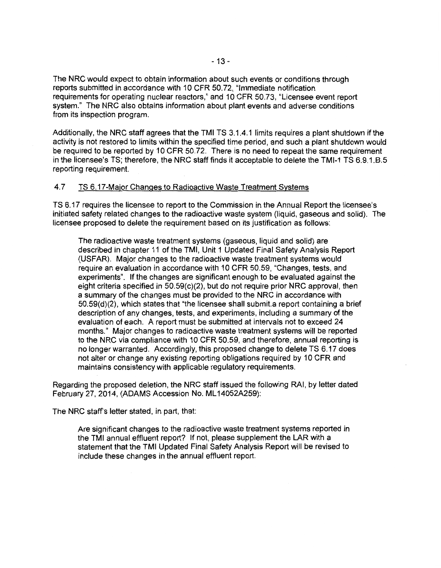The NRC would expect to obtain information about such events or conditions through reports submitted in accordance with 10 CFR 50.72, "Immediate notification requirements for operating nuclear reactors," and 10 CFR 50. 73, "Licensee event report system." The NRC also obtains information about plant events and adverse conditions from its inspection program.

Additionally, the NRC staff agrees that the TMI TS 3.1.4.1 limits requires a plant shutdown if the activity is not restored to limits within the specified time period, and such a plant shutdown would be required to be reported by 10 CFR 50.72. There is no need to repeat the same requirement in the licensee's TS; therefore, the NRC staff finds it acceptable to delete the TMI-1 TS 6.9.1.8.5 reporting requirement.

## 4.7 TS 6.17-Major Changes to Radioactive Waste Treatment Systems

TS 6.17 requires the licensee to report to the Commission in the Annual Report the licensee's initiated safety related changes to the radioactive waste system {liquid, gaseous and solid). The licensee proposed to delete the requirement based on its justification as follows:

The radioactive waste treatment systems (gaseous, liquid and solid) are described in chapter 11 of the TMI, Unit 1 Updated Final Safety Analysis Report (USFAR). Major changes to the radioactive waste treatment systems would require an evaluation in accordance with 10 CFR 50.59, "Changes, tests, and experiments". If the changes are significant enough to be evaluated against the eight criteria specified in 50.59(c)(2), but do not require prior NRC approval, then a summary of the changes must be provided to the NRC in accordance with 50.59(d)(2), which states that "the licensee shall submit.a report containing a brief description of any changes, tests, and experiments, including a summary of the evaluation of each. A report must be submitted at intervals not to exceed 24 months." Major changes to radioactive waste treatment systems will be reported to the NRC via compliance with 10 CFR 50.59, and therefore, annual reporting is no longer warranted. Accordingly, this proposed change to delete TS 6.17 does not alter or change any existing reporting obligations required by 10 CFR and maintains consistency with applicable regulatory requirements.

Regarding the proposed deletion, the NRC staff issued the following RAI, by letter dated February 27, 2014, (ADAMS Accession No. ML14052A259):

The NRC staff's letter stated, in part, that:

Are significant changes to the radioactive waste treatment systems reported in the TMI annual effluent report? If not, please supplement the LAR with a statement that the TMI Updated Final Safety Analysis Report will be revised to include these changes in the annual effluent report.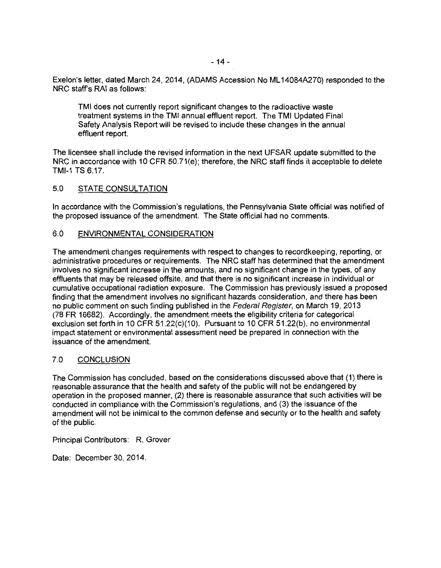Exelon's letter, dated March 24, 2014, (ADAMS Accession No ML 14084A270) responded to the NRC staff's RAI as follows:

TMI does not currently report significant changes to the radioactive waste treatment systems in the TMI annual effluent report. The TMI Updated Final Safety Analysis Report will be revised to include these changes in the annual effluent report.

The licensee shall include the revised information in the next UFSAR update submitted to the NRC in accordance with 10 CFR 50.71 (e); therefore, the NRC staff finds it acceptable to delete TMI-1 TS 6.17.

# 5.0 STATE CONSULTATION

In accordance with the Commission's regulations, the Pennsylvania State official was notified of the proposed issuance of the amendment. The State official had no comments.

# 6.0 ENVIRONMENTAL CONSIDERATION

The amendment changes requirements with respect to changes to record keeping, reporting, or administrative procedures or requirements. The NRC staff has determined that the amendment involves no significant increase in the amounts, and no significant change in the types, of any effluents that may be released offsite, and that there is no significant increase in individual or cumulative occupational radiation exposure. The Commission has previously issued a proposed finding that the amendment involves no significant hazards consideration, and there has been no public comment on such finding published in the Federal Register, on March 19, 2013 (78 FR 16682). Accordingly, the amendment meets the eligibility criteria for categorical exclusion set forth in 10 CFR 51.22(c)(10). Pursuant to 10 CFR 51.22(b), no environmental impact statement or environmental assessment need be prepared in connection with the issuance of the amendment.

## 7.0 CONCLUSION

The Commission has concluded, based on the considerations discussed above that (1) there is reasonable assurance that the health and safety of the public will not be endangered by operation in the proposed manner, (2) there is reasonable assurance that such activities will be conducted in compliance with the Commission's regulations, and (3) the issuance of the amendment will not be inimical to the common defense and security or to the health and safety of the public.

Principal Contributors: R. Grover

Date: December 30, 2014.